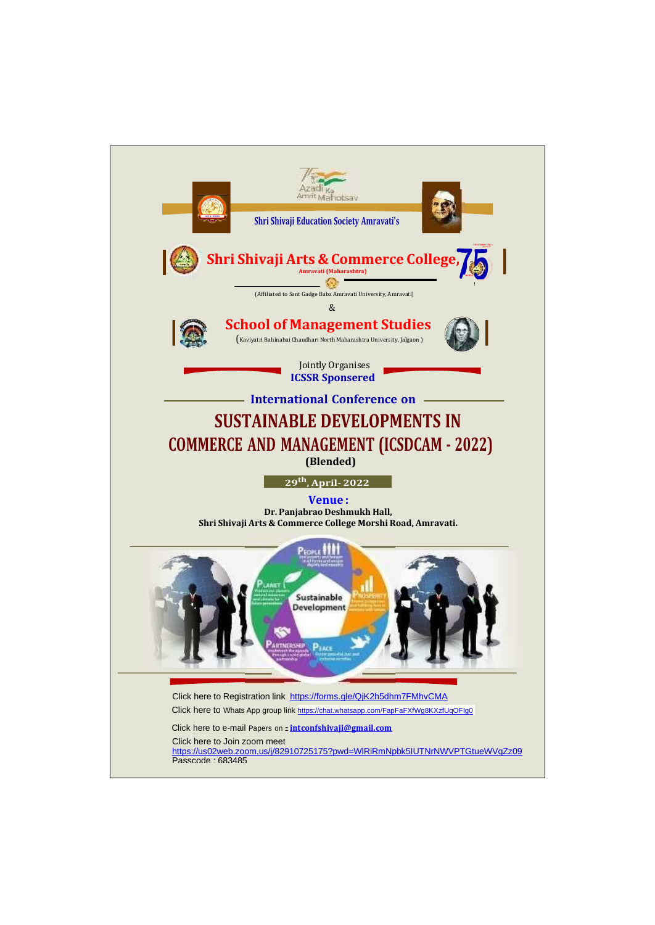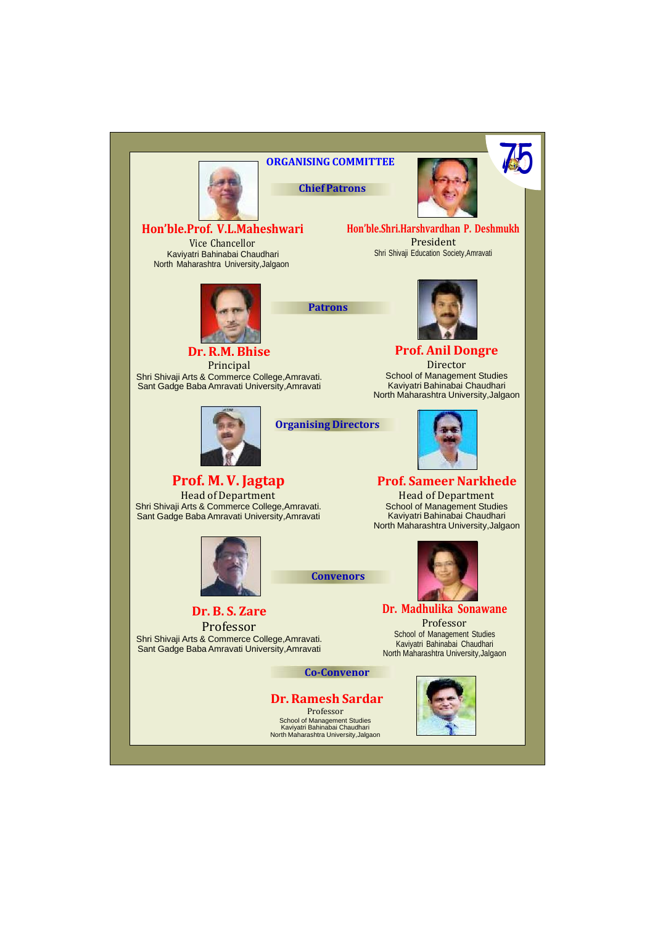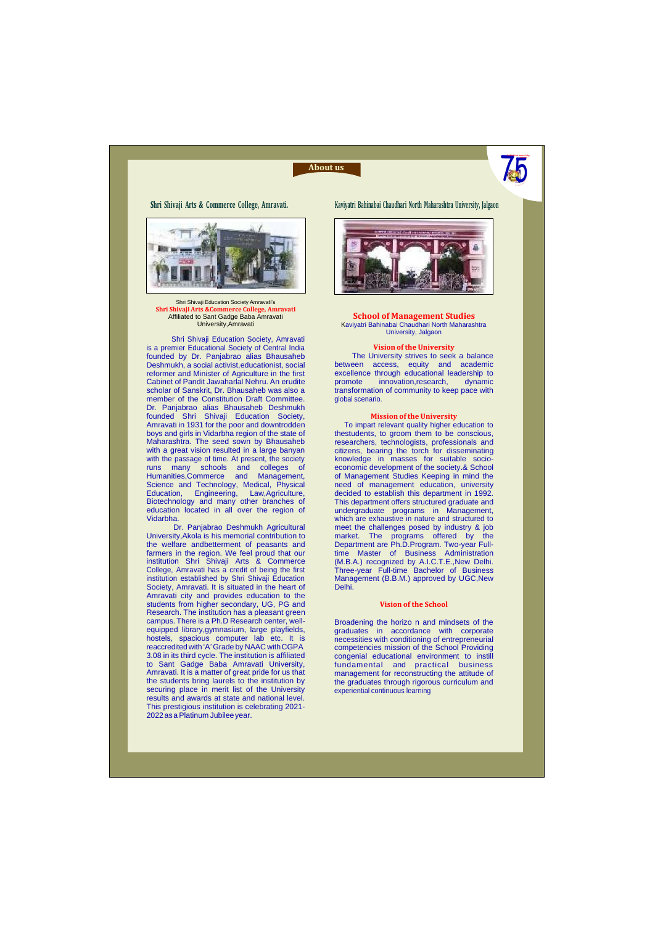# **About us**



Shri Shivaji Education Society Amravati's **Shri Shivaji Arts &Commerce College, Amravati** Affiliated to Sant Gadge Baba Amravati University,Amravati

Shri Shivaji Education Society, Amravati is a premier Educational Society of Central India founded by Dr. Panjabrao alias Bhausaheb Deshmukh, a social activist,educationist, social reformer and Minister of Agriculture in the first Cabinet of Pandit Jawaharlal Nehru. An erudite scholar of Sanskrit, Dr. Bhausaheb was also a member of the Constitution Draft Committee. Dr. Panjabrao alias Bhausaheb Deshmukh founded Shri Shivaji Education Society, Amravati in 1931 for the poor and downtrodden boys and girls in Vidarbha region of the state of Maharashtra. The seed sown by Bhausaheb with a great vision resulted in a large banyan with the passage of time. At present, the society runs many schools and colleges of Humanities,Commerce and Management, Science and Technology, Medical, Physical Education, Engineering, Law,Agriculture, Biotechnology and many other branches of education located in all over the region of Vidarbha.

Dr. Panjabrao Deshmukh Agricultural University,Akola is his memorial contribution to the welfare andbetterment of peasants and farmers in the region. We feel proud that our institution Shri Shivaji Arts & Commerce College, Amravati has a credit of being the first institution established by Shri Shivaji Education Society, Amravati. It is situated in the heart of Amravati city and provides education to the students from higher secondary, UG, PG and Research. The institution has a pleasant green campus. There is a Ph.D Research center, wellequipped library,gymnasium, large playfields, hostels, spacious computer lab etc. It is reaccreditedwith 'A'Grade by NAAC withCGPA 3.08 in its third cycle. The institution is affiliated to Sant Gadge Baba Amravati University, Amravati. It is a matter of great pride for us that the students bring laurels to the institution by securing place in merit list of the University results and awards at state and national level. This prestigious institution is celebrating 2021- 2022asa Platinum Jubileeyear.

## **Shri Shivaji Arts & Commerce College, Amravati. Kaviyatri Bahinabai Chaudhari North Maharashtra University, Jalgaon**

75 **Amravati**

**ShriShivaji Arts & CommerceCollege,**



**School of Management Studies** Kaviyatri Bahinabai Chaudhari North Maharashtra University, Jalgaon

### **Vision of the University**

The University strives to seek a balance between access, equity and academic excellence through educational leadership to promote innovation,research, dynamic transformation of community to keep pace with global scenario.

## **Mission of the University**

To impart relevant quality higher education to thestudents, to groom them to be conscious, researchers, technologists, professionals and citizens, bearing the torch for disseminating knowledge in masses for suitable socioeconomic development of the society.& School of Management Studies Keeping in mind the need of management education, university decided to establish this department in 1992. This department offers structured graduate and undergraduate programs in Management, which are exhaustive in nature and structured to meet the challenges posed by industry & job market. The programs offered by the Department are Ph.D.Program. Two-year Fulltime Master of Business Administration (M.B.A.) recognized by A.I.C.T.E.,New Delhi. Three-year Full-time Bachelor of Business Management (B.B.M.) approved by UGC,New Delhi.

## **Vision of the School**

Broadening the horizo n and mindsets of the graduates in accordance with corporate necessities with conditioning of entrepreneurial competencies mission of the School Providing congenial educational environment to instill fundamental and practical business management for reconstructing the attitude of the graduates through rigorous curriculum and experiential continuous learning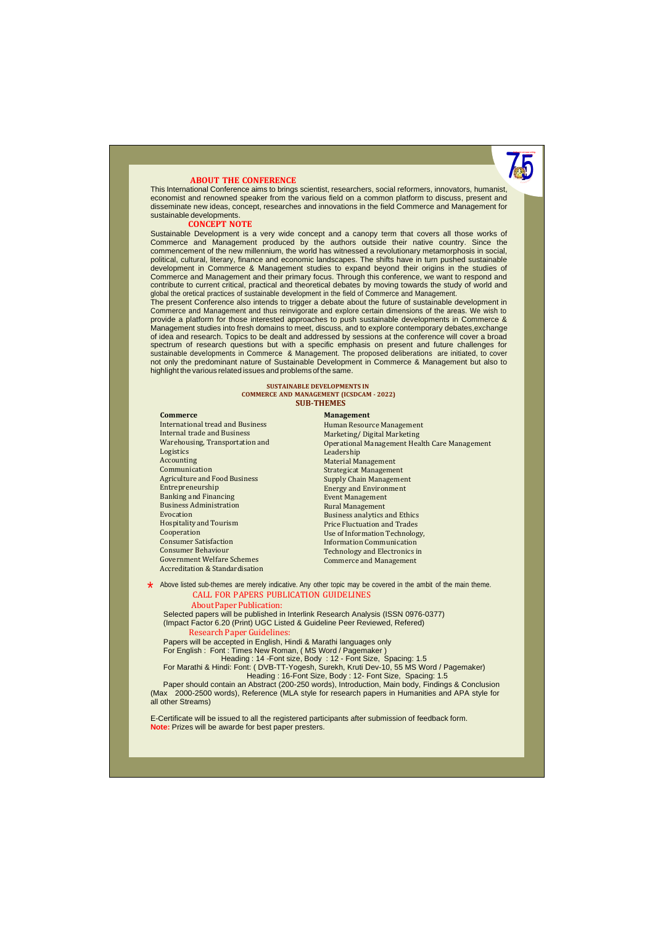

## **ABOUT THE CONFERENCE**

This International Conference aims to brings scientist, researchers, social reformers, innovators, humanist economist and renowned speaker from the various field on a common platform to discuss, present and disseminate new ideas, concept, researches and innovations in the field Commerce and Management for sustainable developments.

## **CONCEPT NOTE**

Sustainable Development is a very wide concept and a canopy term that covers all those works of Commerce and Management produced by the authors outside their native country. Since the commencement of the new millennium, the world has witnessed a revolutionary metamorphosis in social, political, cultural, literary, finance and economic landscapes. The shifts have in turn pushed sustainable development in Commerce & Management studies to expand beyond their origins in the studies of Commerce and Management and their primary focus. Through this conference, we want to respond and contribute to current critical, practical and theoretical debates by moving towards the study of world and global the oretical practices of sustainable development in the field of Commerce and Management.

The present Conference also intends to trigger a debate about the future of sustainable development in Commerce and Management and thus reinvigorate and explore certain dimensions of the areas. We wish to provide a platform for those interested approaches to push sustainable developments in Commerce & Management studies into fresh domains to meet, discuss, and to explore contemporary debates,exchange of idea and research. Topics to be dealt and addressed by sessions at the conference will cover a broad spectrum of research questions but with a specific emphasis on present and future challenges for sustainable developments in Commerce & Management. The proposed deliberations are initiated, to cover not only the predominant nature of Sustainable Development in Commerce & Management but also to highlight the various related issues and problems of the same.

## **SUSTAINABLE DEVELOPMENTS IN COMMERCE AND MANAGEMENT (ICSDCAM - 2022) SUB-THEMES**

**Management**

International tread and Business Internal trade and Business Warehousing, Transportation and Logistics Accounting Communication Agriculture and Food Business Entrepreneurship Banking and Financing Business Administration Evocation Hospitality and Tourism Cooperation Consumer Satisfaction Consumer Behaviour Government Welfare Schemes Accreditation & Standardisation

**Commerce**

## Human Resource Management Marketing/ Digital Marketing Operational Management Health Care Management Leadership Material Management Strategicat Management Supply Chain Management Energy and Environment Event Management Rural Management Business analytics and Ethics Price Fluctuation and Trades Use of Information Technology, Information Communication Technology and Electronics in Commerce and Management

Above listed sub-themes are merely indicative. Any other topic may be covered in the ambit of the main theme. \*CALL FOR PAPERS PUBLICATION GUIDELINES About Paper Publication:

Selected papers will be published in Interlink Research Analysis (ISSN 0976-0377) (Impact Factor 6.20 (Print) UGC Listed & Guideline Peer Reviewed, Refered) Research Paper Guidelines:

Papers will be accepted in English, Hindi & Marathi languages only For English : Font : Times New Roman, ( MS Word / Pagemaker ) Heading : 14 -Font size, Body : 12 - Font Size, Spacing: 1.5

For Marathi & Hindi: Font: ( DVB-TT-Yogesh, Surekh, Kruti Dev-10, 55 MS Word / Pagemaker)<br>Heading : 16-Font Size, Body : 12- Font Size, Spacing: 1.5<br>Paper should contain an Abstract (200-250 words), Introduction, Main body

(Max 2000-2500 words), Reference (MLA style for research papers in Humanities and APA style for all other Streams)

E-Certificate will be issued to all the registered participants after submission of feedback form. **Note:** Prizes will be awarde for best paper presters.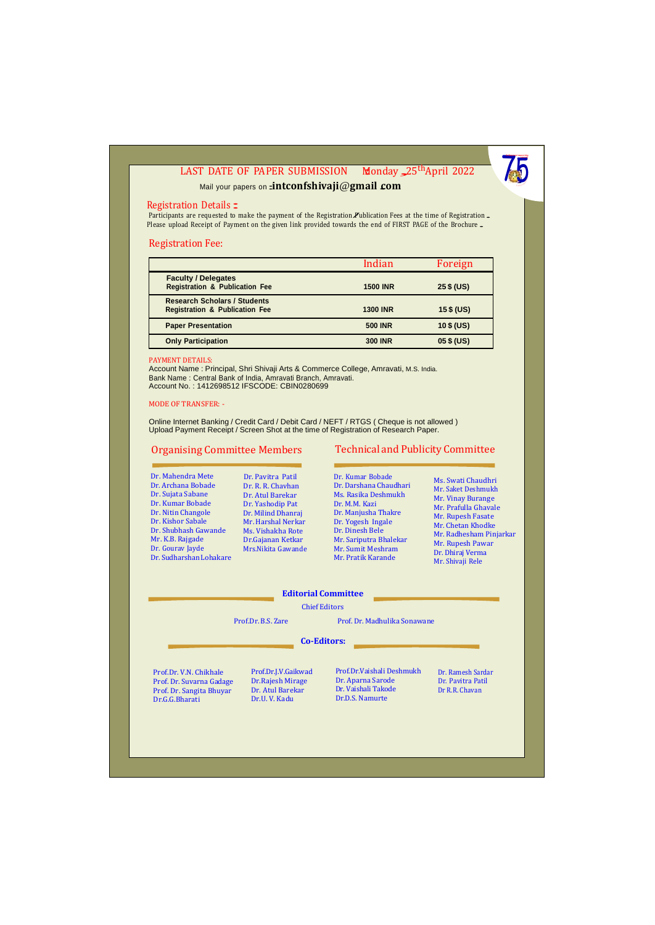# LAST DATE OF PAPER SUBMISSION Monday 25<sup>th</sup>April 2022



Mail your papers on:**[intconfshivaji](mailto:intconfshivaji@gmail.com)**@**gma[il](mailto:intconfshivaji@gmail.com)**[.](mailto:intconfshivaji@gmail.com)**c[om](mailto:intconfshivaji@gmail.com)**

# Registration Details:

Participants are requested to make the payment of the Registration. Publication Fees at the time of Registration. Please upload Receipt of Payment on the given link provided towards the end of FIRST PAGE of the Brochure.

# Registration Fee:

|                                                                                  | Indian          | Foreign      |
|----------------------------------------------------------------------------------|-----------------|--------------|
| <b>Faculty / Delegates</b><br><b>Registration &amp; Publication Fee</b>          | <b>1500 INR</b> | $25$ \$ (US) |
| <b>Research Scholars / Students</b><br><b>Registration &amp; Publication Fee</b> | <b>1300 INR</b> | $15$ \$ (US) |
| <b>Paper Presentation</b>                                                        | <b>500 INR</b>  | 10 \$ (US)   |
| <b>Only Participation</b>                                                        | <b>300 INR</b>  | 05 \$ (US)   |

## PAYMENT DETAILS:

Account Name : Principal, Shri Shivaji Arts & Commerce College, Amravati, M.S. India. Bank Name : Central Bank of India, Amravati Branch, Amravati. Account No. : 1412698512 IFSCODE: CBIN0280699

# MODE OF TRANSFER: -

Online Internet Banking / Credit Card / Debit Card / NEFT / RTGS ( Cheque is not allowed ) Upload Payment Receipt / Screen Shot at the time of Registration of Research Paper.

# Organising Committee Members Technical and Publicity Committee

- Dr. Mahendra Mete Dr. Archana Bobade Dr. Sujata Sabane Dr. Kumar Bobade Dr. Nitin Changole Dr. Kishor Sabale Dr. Shubhash Gawande Mr. K.B. Rajgade Dr. Gourav Jayde Dr. Sudharshan Lohakare
- Dr. Pavitra Patil Dr. R. R. Chavhan Dr. Atul Barekar Dr. Yashodip Pat Dr. Milind Dhanraj Mr. Harshal Nerkar Ms. Vishakha Rote Dr.Gajanan Ketkar Mrs.Nikita Gawande
- Dr. Kumar Bobade Dr. Darshana Chaudhari Ms. Rasika Deshmukh Dr. M.M. Kazi Dr. Manjusha Thakre Dr. Yogesh Ingale Dr. Dinesh Bele Mr. Sariputra Bhalekar Mr. Sumit Meshram Mr. Pratik Karande

Ms. Swati Chaudhri Mr. Saket Deshmukh Mr. Vinay Burange Mr. Prafulla Ghavale Mr. Rupesh Fasate Mr. Chetan Khodke Mr. Radhesham Pinjarkar Mr. Rupesh Pawar Dr. Dhiraj Verma Mr. Shivaji Rele